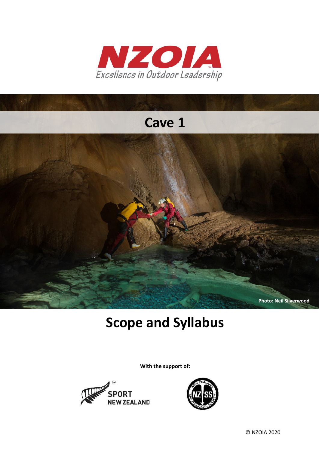

# **Cave 1**



# **Scope and Syllabus**

**With the support of:**



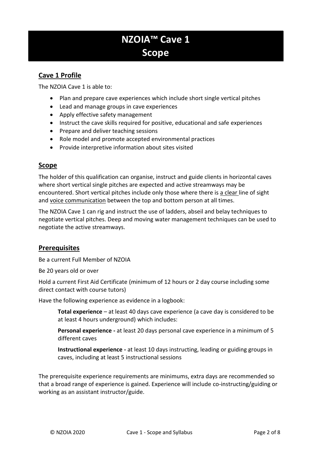# **NZOIA™ Cave 1 Scope**

## **Cave 1 Profile**

The NZOIA Cave 1 is able to:

- Plan and prepare cave experiences which include short single vertical pitches
- Lead and manage groups in cave experiences
- Apply effective safety management
- Instruct the cave skills required for positive, educational and safe experiences
- Prepare and deliver teaching sessions
- Role model and promote accepted environmental practices
- Provide interpretive information about sites visited

#### **Scope**

The holder of this qualification can organise, instruct and guide clients in horizontal caves where short vertical single pitches are expected and active streamways may be encountered. Short vertical pitches include only those where there is a clear line of sight and voice communication between the top and bottom person at all times.

The NZOIA Cave 1 can rig and instruct the use of ladders, abseil and belay techniques to negotiate vertical pitches. Deep and moving water management techniques can be used to negotiate the active streamways.

### **Prerequisites**

Be a current Full Member of NZOIA

Be 20 years old or over

Hold a current First Aid Certificate (minimum of 12 hours or 2 day course including some direct contact with course tutors)

Have the following experience as evidence in a logbook:

**Total experience** – at least 40 days cave experience (a cave day is considered to be at least 4 hours underground) which includes:

**Personal experience -** at least 20 days personal cave experience in a minimum of 5 different caves

**Instructional experience -** at least 10 days instructing, leading or guiding groups in caves, including at least 5 instructional sessions

The prerequisite experience requirements are minimums, extra days are recommended so that a broad range of experience is gained. Experience will include co-instructing/guiding or working as an assistant instructor/guide.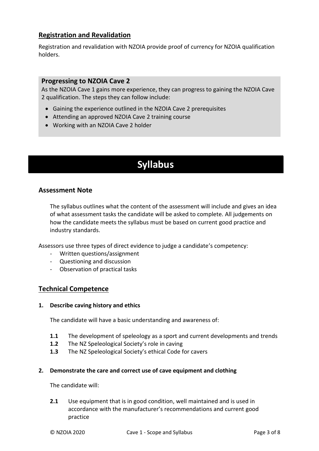## **Registration and Revalidation**

Registration and revalidation with NZOIA provide proof of currency for NZOIA qualification holders.

#### **Progressing to NZOIA Cave 2**

As the NZOIA Cave 1 gains more experience, they can progress to gaining the NZOIA Cave 2 qualification. The steps they can follow include:

- Gaining the experience outlined in the NZOIA Cave 2 prerequisites
- Attending an approved NZOIA Cave 2 training course
- Working with an NZOIA Cave 2 holder

# **Syllabus**

#### **Assessment Note**

The syllabus outlines what the content of the assessment will include and gives an idea of what assessment tasks the candidate will be asked to complete. All judgements on how the candidate meets the syllabus must be based on current good practice and industry standards.

Assessors use three types of direct evidence to judge a candidate's competency:

- Written questions/assignment
- Questioning and discussion
- Observation of practical tasks

#### **Technical Competence**

#### **1. Describe caving history and ethics**

The candidate will have a basic understanding and awareness of:

- **1.1** The development of speleology as a sport and current developments and trends
- **1.2** The NZ Speleological Society's role in caving
- **1.3** The NZ Speleological Society's ethical Code for cavers

#### **2. Demonstrate the care and correct use of cave equipment and clothing**

The candidate will:

**2.1** Use equipment that is in good condition, well maintained and is used in accordance with the manufacturer's recommendations and current good practice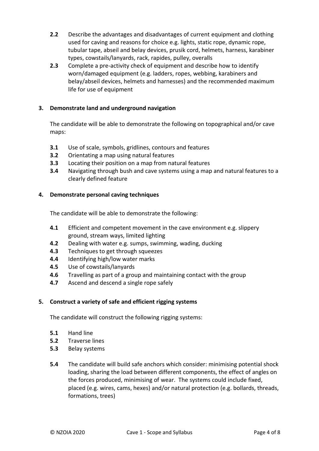- **2.2** Describe the advantages and disadvantages of current equipment and clothing used for caving and reasons for choice e.g. lights, static rope, dynamic rope, tubular tape, abseil and belay devices, prusik cord, helmets, harness, karabiner types, cowstails/lanyards, rack, rapides, pulley, overalls
- **2.3** Complete a pre-activity check of equipment and describe how to identify worn/damaged equipment (e.g. ladders, ropes, webbing, karabiners and belay/abseil devices, helmets and harnesses) and the recommended maximum life for use of equipment

#### **3. Demonstrate land and underground navigation**

The candidate will be able to demonstrate the following on topographical and/or cave maps:

- **3.1** Use of scale, symbols, gridlines, contours and features
- **3.2** Orientating a map using natural features
- **3.3** Locating their position on a map from natural features
- **3.4** Navigating through bush and cave systems using a map and natural features to a clearly defined feature

#### **4. Demonstrate personal caving techniques**

The candidate will be able to demonstrate the following:

- **4.1** Efficient and competent movement in the cave environment e.g. slippery ground, stream ways, limited lighting
- **4.2** Dealing with water e.g. sumps, swimming, wading, ducking
- **4.3** Techniques to get through squeezes
- **4.4** Identifying high/low water marks
- **4.5** Use of cowstails/lanyards
- **4.6** Travelling as part of a group and maintaining contact with the group
- **4.7** Ascend and descend a single rope safely

#### **5. Construct a variety of safe and efficient rigging systems**

The candidate will construct the following rigging systems:

- **5.1** Hand line
- **5.2** Traverse lines
- **5.3** Belay systems
- **5.4** The candidate will build safe anchors which consider: minimising potential shock loading, sharing the load between different components, the effect of angles on the forces produced, minimising of wear. The systems could include fixed, placed (e.g. wires, cams, hexes) and/or natural protection (e.g. bollards, threads, formations, trees)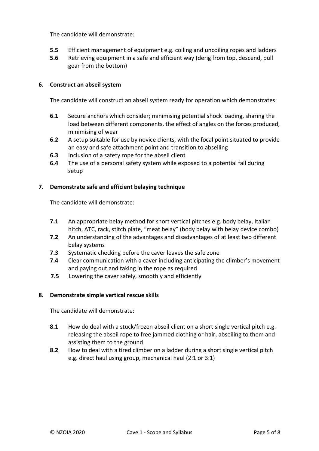The candidate will demonstrate:

- **5.5** Efficient management of equipment e.g. coiling and uncoiling ropes and ladders
- **5.6** Retrieving equipment in a safe and efficient way (derig from top, descend, pull gear from the bottom)

#### **6. Construct an abseil system**

The candidate will construct an abseil system ready for operation which demonstrates:

- **6.1** Secure anchors which consider; minimising potential shock loading, sharing the load between different components, the effect of angles on the forces produced, minimising of wear
- **6.2** A setup suitable for use by novice clients, with the focal point situated to provide an easy and safe attachment point and transition to abseiling
- **6.3** Inclusion of a safety rope for the abseil client
- **6.4** The use of a personal safety system while exposed to a potential fall during setup

#### **7. Demonstrate safe and efficient belaying technique**

The candidate will demonstrate:

- **7.1** An appropriate belay method for short vertical pitches e.g. body belay, Italian hitch, ATC, rack, stitch plate, "meat belay" (body belay with belay device combo)
- **7.2** An understanding of the advantages and disadvantages of at least two different belay systems
- **7.3** Systematic checking before the caver leaves the safe zone
- **7.4** Clear communication with a caver including anticipating the climber's movement and paying out and taking in the rope as required
- **7.5** Lowering the caver safely, smoothly and efficiently

#### **8. Demonstrate simple vertical rescue skills**

The candidate will demonstrate:

- **8.1** How do deal with a stuck/frozen abseil client on a short single vertical pitch e.g. releasing the abseil rope to free jammed clothing or hair, abseiling to them and assisting them to the ground
- **8.2** How to deal with a tired climber on a ladder during a short single vertical pitch e.g. direct haul using group, mechanical haul (2:1 or 3:1)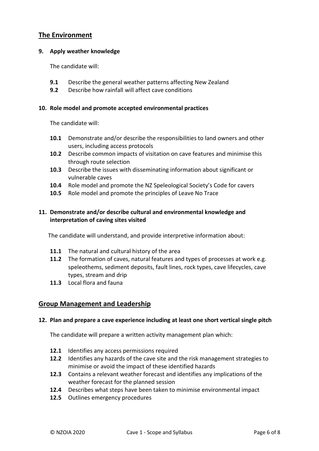### **The Environment**

#### **9. Apply weather knowledge**

The candidate will:

- **9.1** Describe the general weather patterns affecting New Zealand
- **9.2** Describe how rainfall will affect cave conditions

#### **10. Role model and promote accepted environmental practices**

The candidate will:

- **10.1** Demonstrate and/or describe the responsibilities to land owners and other users, including access protocols
- **10.2** Describe common impacts of visitation on cave features and minimise this through route selection
- **10.3** Describe the issues with disseminating information about significant or vulnerable caves
- **10.4** Role model and promote the NZ Speleological Society's Code for cavers
- **10.5** Role model and promote the principles of Leave No Trace

#### **11. Demonstrate and/or describe cultural and environmental knowledge and interpretation of caving sites visited**

The candidate will understand, and provide interpretive information about:

- **11.1** The natural and cultural history of the area
- **11.2** The formation of caves, natural features and types of processes at work e.g. speleothems, sediment deposits, fault lines, rock types, cave lifecycles, cave types, stream and drip
- **11.3** Local flora and fauna

#### **Group Management and Leadership**

#### **12. Plan and prepare a cave experience including at least one short vertical single pitch**

The candidate will prepare a written activity management plan which:

- **12.1** Identifies any access permissions required
- **12.2** Identifies any hazards of the cave site and the risk management strategies to minimise or avoid the impact of these identified hazards
- **12.3** Contains a relevant weather forecast and identifies any implications of the weather forecast for the planned session
- **12.4** Describes what steps have been taken to minimise environmental impact
- **12.5** Outlines emergency procedures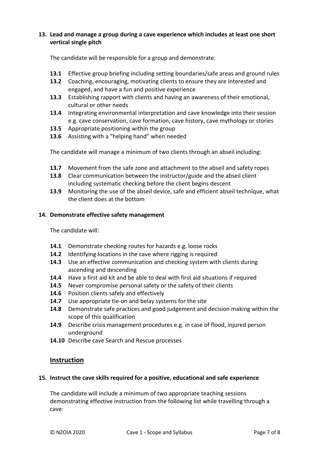#### **13. Lead and manage a group during a cave experience which includes at least one short vertical single pitch**

The candidate will be responsible for a group and demonstrate:

- **13.1** Effective group briefing including setting boundaries/safe areas and ground rules
- **13.2** Coaching, encouraging, motivating clients to ensure they are interested and engaged, and have a fun and positive experience
- **13.3** Establishing rapport with clients and having an awareness of their emotional, cultural or other needs
- **13.4** Integrating environmental interpretation and cave knowledge into their session e.g. cave conservation, cave formation, cave history, cave mythology or stories
- **13.5** Appropriate positioning within the group
- **13.6** Assisting with a "helping hand" when needed

The candidate will manage a minimum of two clients through an abseil including:

- **13.7** Movement from the safe zone and attachment to the abseil and safety ropes
- **13.8** Clear communication between the instructor/guide and the abseil client including systematic checking before the client begins descent
- **13.9** Monitoring the use of the abseil device, safe and efficient abseil technique, what the client does at the bottom

#### **14. Demonstrate effective safety management**

The candidate will:

- **14.1** Demonstrate checking routes for hazards e.g. loose rocks
- **14.2** Identifying locations in the cave where rigging is required
- **14.3** Use an effective communication and checking system with clients during ascending and descending
- **14.4** Have a first aid kit and be able to deal with first aid situations if required
- **14.5** Never compromise personal safety or the safety of their clients
- **14.6** Position clients safely and effectively
- **14.7** Use appropriate tie-on and belay systems for the site
- **14.8** Demonstrate safe practices and good judgement and decision making within the scope of this qualification
- **14.9** Describe crisis management procedures e.g. in case of flood, injured person underground
- **14.10** Describe cave Search and Rescue processes

#### **Instruction**

#### **15. Instruct the cave skills required for a positive, educational and safe experience**

The candidate will include a minimum of two appropriate teaching sessions demonstrating effective instruction from the following list while travelling through a cave: